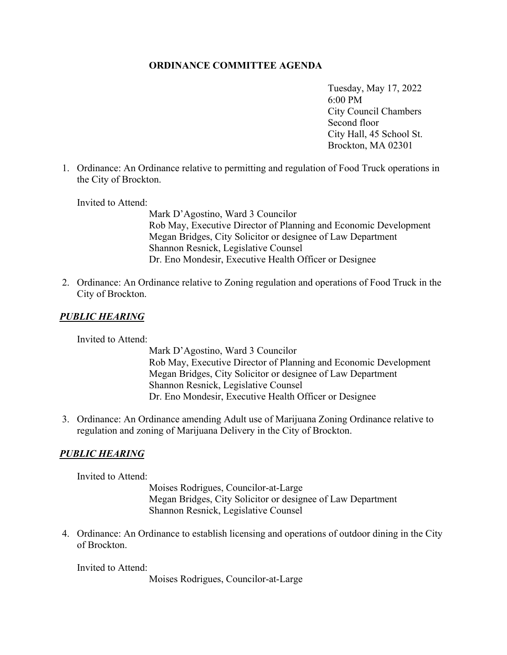## **ORDINANCE COMMITTEE AGENDA**

 6:00 PM Tuesday, May 17, 2022 City Council Chambers Second floor City Hall, 45 School St. Brockton, MA 02301

1. Ordinance: An Ordinance relative to permitting and regulation of Food Truck operations in the City of Brockton.

Invited to Attend:

Mark D'Agostino, Ward 3 Councilor Rob May, Executive Director of Planning and Economic Development Megan Bridges, City Solicitor or designee of Law Department Shannon Resnick, Legislative Counsel Dr. Eno Mondesir, Executive Health Officer or Designee

2. Ordinance: An Ordinance relative to Zoning regulation and operations of Food Truck in the City of Brockton.

## *PUBLIC HEARING*

Invited to Attend:

Mark D'Agostino, Ward 3 Councilor Rob May, Executive Director of Planning and Economic Development Megan Bridges, City Solicitor or designee of Law Department Shannon Resnick, Legislative Counsel Dr. Eno Mondesir, Executive Health Officer or Designee

3. Ordinance: An Ordinance amending Adult use of Marijuana Zoning Ordinance relative to regulation and zoning of Marijuana Delivery in the City of Brockton.

## *PUBLIC HEARING*

Invited to Attend:

 Moises Rodrigues, Councilor-at-Large Megan Bridges, City Solicitor or designee of Law Department Shannon Resnick, Legislative Counsel

4. Ordinance: An Ordinance to establish licensing and operations of outdoor dining in the City of Brockton.

Invited to Attend:

Moises Rodrigues, Councilor-at-Large